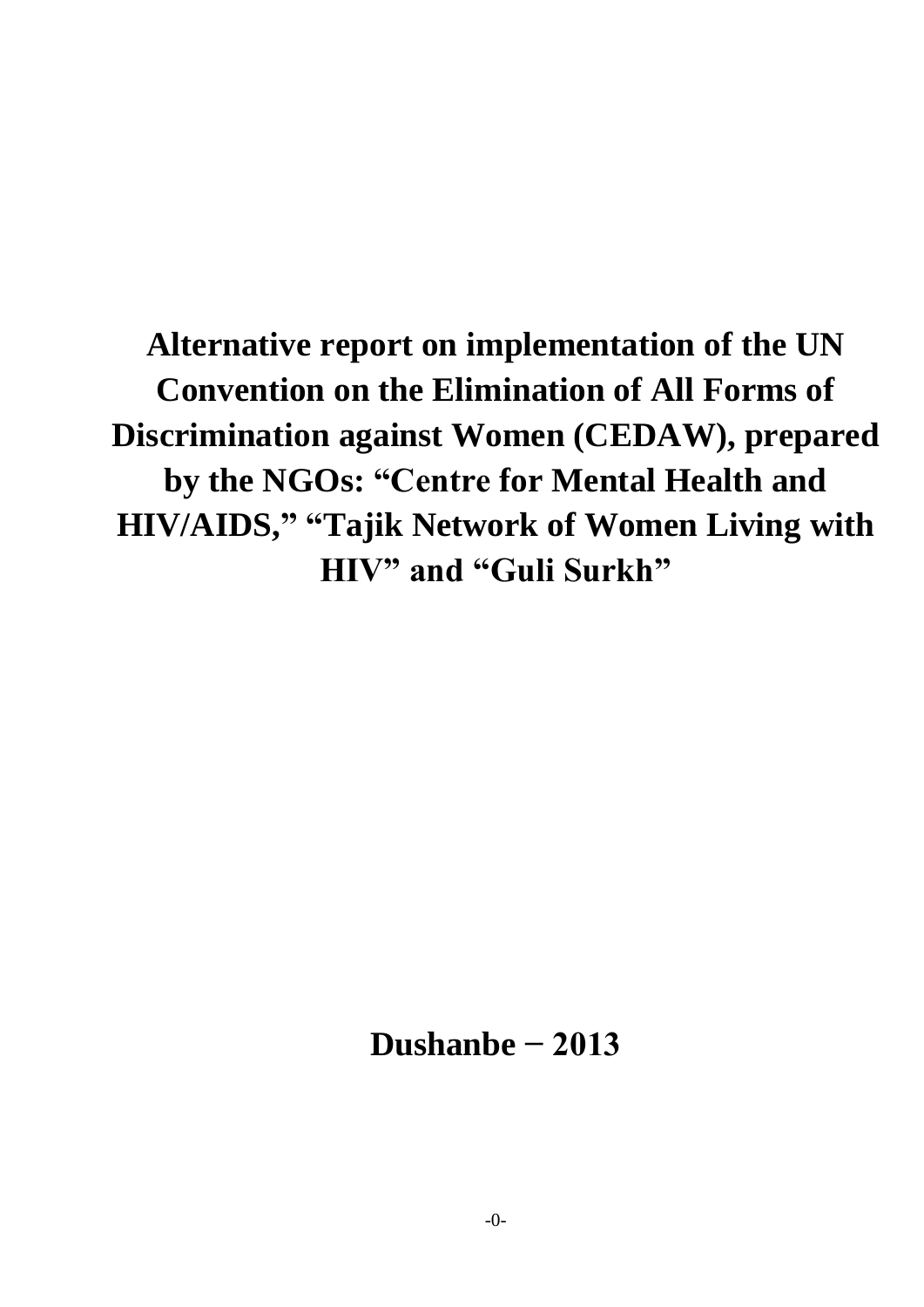**Alternative report on implementation of the UN Convention on the Elimination of All Forms of Discrimination against Women (CEDAW), prepared by the NGOs: "Centre for Mental Health and HIV/AIDS," "Tajik Network of Women Living with HIV" and "Guli Surkh"**

**Dushanbe − 2013**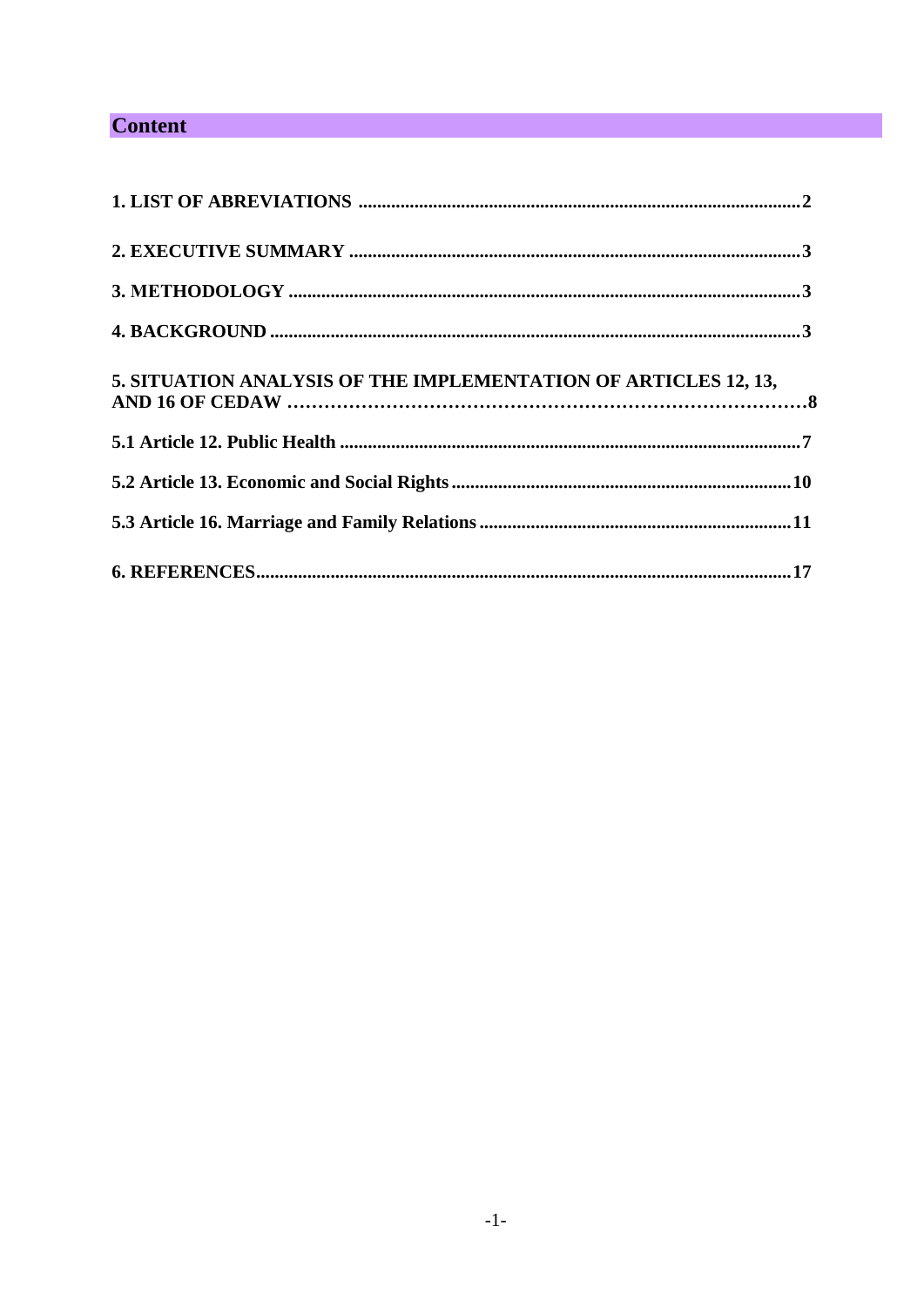# **Content**

| 5. SITUATION ANALYSIS OF THE IMPLEMENTATION OF ARTICLES 12, 13, |
|-----------------------------------------------------------------|
|                                                                 |
|                                                                 |
|                                                                 |
|                                                                 |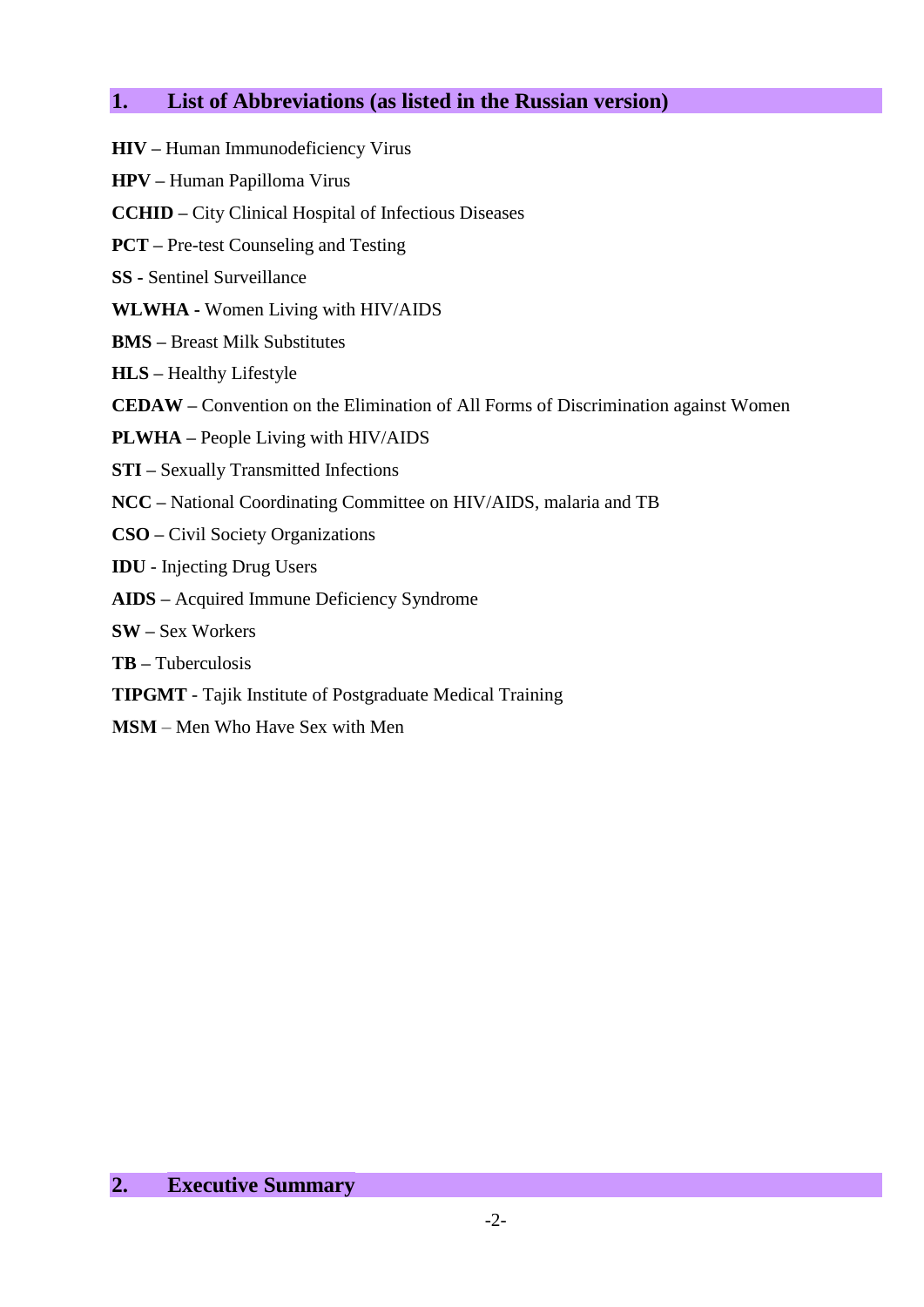# **1. List of Abbreviations (as listed in the Russian version)**

- **HIV –** Human Immunodeficiency Virus **HPV –** Human Papilloma Virus **CCHID –** City Clinical Hospital of Infectious Diseases **PCT –** Pre-test Counseling and Testing **SS -** Sentinel Surveillance **WLWHA -** Women Living with HIV/AIDS **BMS –** Breast Milk Substitutes **HLS –** Healthy Lifestyle **CEDAW –** Convention on the Elimination of All Forms of Discrimination against Women **PLWHA –** People Living with HIV/AIDS **STI –** Sexually Transmitted Infections **NCC –** National Coordinating Committee on HIV/AIDS, malaria and TB **CSO –** Civil Society Organizations **IDU** - Injecting Drug Users **AIDS –** Acquired Immune Deficiency Syndrome **SW –** Sex Workers **ТB –** Tuberculosis **ТIPGMT** - Tajik Institute of Postgraduate Medical Training
- **МSМ** Men Who Have Sex with Men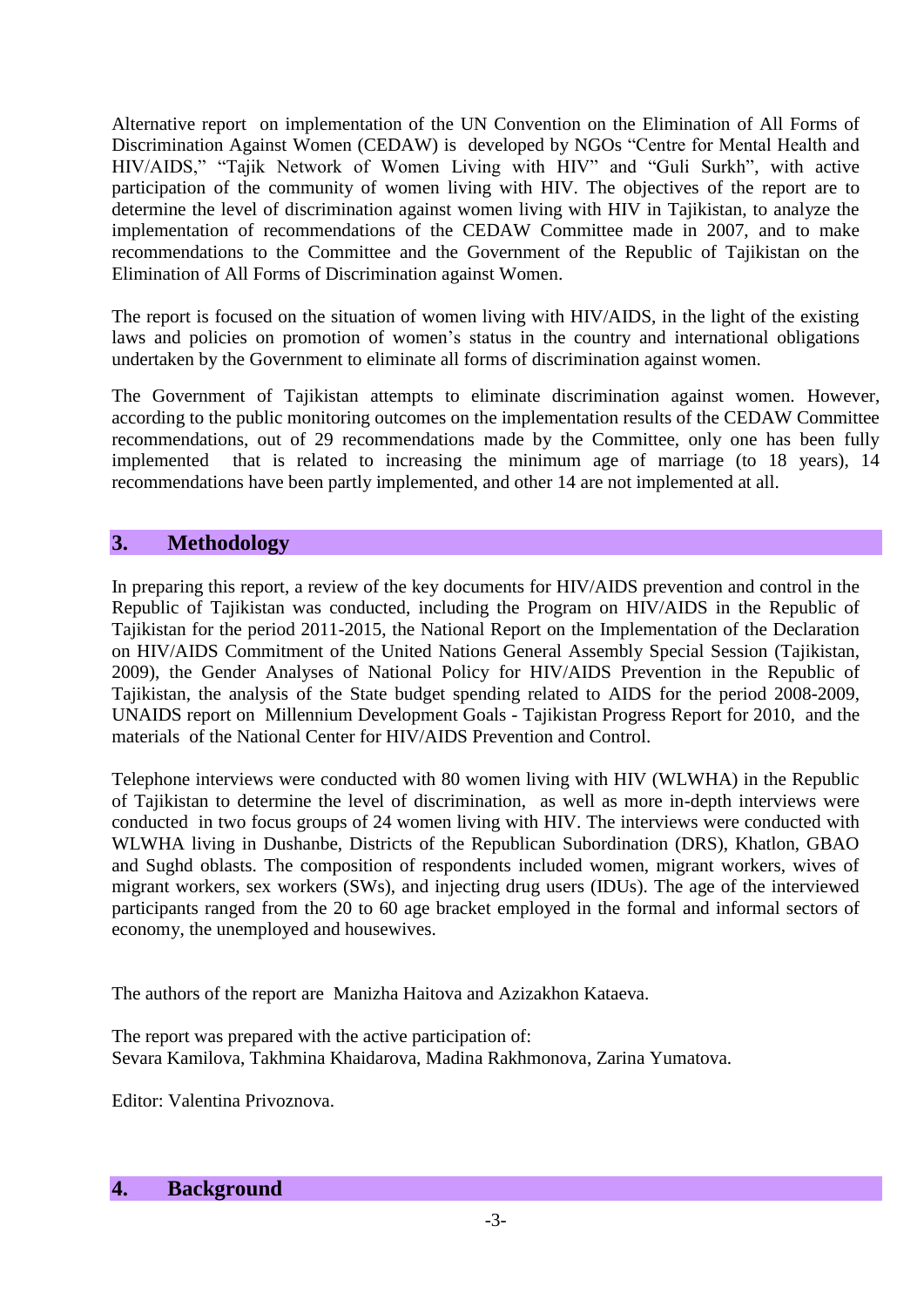Alternative report on implementation of the UN Convention on the Elimination of All Forms of Discrimination Against Women (CEDAW) is developed by NGOs "Centre for Mental Health and HIV/AIDS," "Tajik Network of Women Living with HIV" and "Guli Surkh", with active participation of the community of women living with HIV. The objectives of the report are to determine the level of discrimination against women living with HIV in Tajikistan, to analyze the implementation of recommendations of the CEDAW Committee made in 2007, and to make recommendations to the Committee and the Government of the Republic of Tajikistan on the Elimination of All Forms of Discrimination against Women.

The report is focused on the situation of women living with HIV/AIDS, in the light of the existing laws and policies on promotion of women's status in the country and international obligations undertaken by the Government to eliminate all forms of discrimination against women.

The Government of Tajikistan attempts to eliminate discrimination against women. However, according to the public monitoring outcomes on the implementation results of the CEDAW Committee recommendations, out of 29 recommendations made by the Committee, only one has been fully implemented that is related to increasing the minimum age of marriage (to 18 years), 14 recommendations have been partly implemented, and other 14 are not implemented at all.

## **3. Methodology**

In preparing this report, a review of the key documents for HIV/AIDS prevention and control in the Republic of Tajikistan was conducted, including the Program on HIV/AIDS in the Republic of Tajikistan for the period 2011-2015, the National Report on the Implementation of the Declaration on HIV/AIDS Commitment of the United Nations General Assembly Special Session (Tajikistan, 2009), the Gender Analyses of National Policy for HIV/AIDS Prevention in the Republic of Tajikistan, the analysis of the State budget spending related to AIDS for the period 2008-2009, UNAIDS report on Millennium Development Goals - Tajikistan Progress Report for 2010, and the materials of the National Center for HIV/AIDS Prevention and Control.

Telephone interviews were conducted with 80 women living with HIV (WLWHA) in the Republic of Tajikistan to determine the level of discrimination, as well as more in-depth interviews were conducted in two focus groups of 24 women living with HIV. The interviews were conducted with WLWHA living in Dushanbe, Districts of the Republican Subordination (DRS), Khatlon, GBAO and Sughd oblasts. The composition of respondents included women, migrant workers, wives of migrant workers, sex workers (SWs), and injecting drug users (IDUs). The age of the interviewed participants ranged from the 20 to 60 age bracket employed in the formal and informal sectors of economy, the unemployed and housewives.

The authors of the report are Manizha Haitova and Azizakhon Kataeva.

The report was prepared with the active participation of: Sevara Kamilova, Takhmina Khaidarova, Madina Rakhmonova, Zarina Yumatova.

Editor: Valentina Privoznova.

### **4. Background**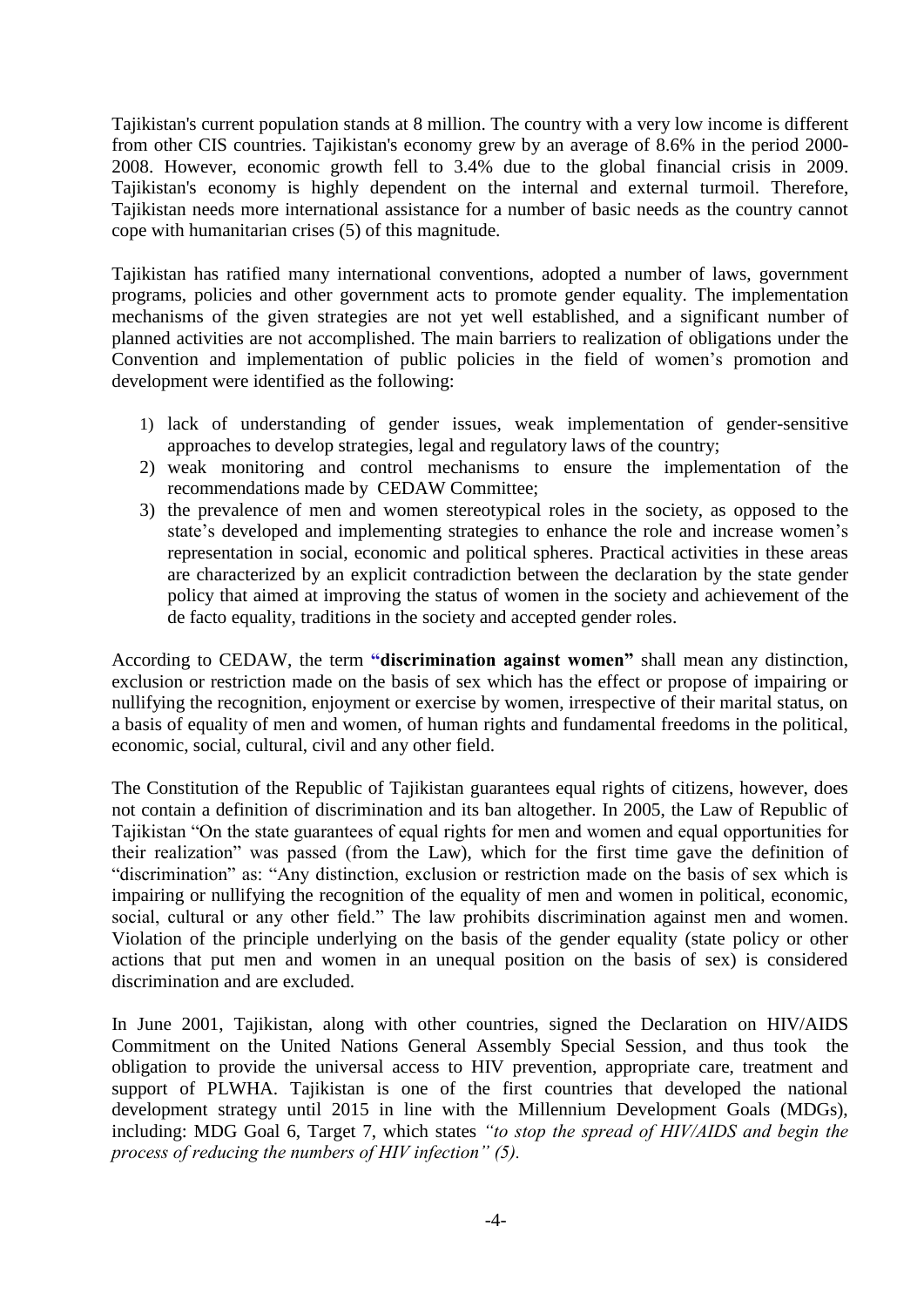Tajikistan's current population stands at 8 million. The country with a very low income is different from other CIS countries. Tajikistan's economy grew by an average of 8.6% in the period 2000- 2008. However, economic growth fell to 3.4% due to the global financial crisis in 2009. Tajikistan's economy is highly dependent on the internal and external turmoil. Therefore, Tajikistan needs more international assistance for a number of basic needs as the country cannot cope with humanitarian crises (5) of this magnitude.

Tajikistan has ratified many international conventions, adopted a number of laws, government programs, policies and other government acts to promote gender equality. The implementation mechanisms of the given strategies are not yet well established, and a significant number of planned activities are not accomplished. The main barriers to realization of obligations under the Convention and implementation of public policies in the field of women's promotion and development were identified as the following:

- 1) lack of understanding of gender issues, weak implementation of gender-sensitive approaches to develop strategies, legal and regulatory laws of the country;
- 2) weak monitoring and control mechanisms to ensure the implementation of the recommendations made by CEDAW Committee;
- 3) the prevalence of men and women stereotypical roles in the society, as opposed to the state's developed and implementing strategies to enhance the role and increase women's representation in social, economic and political spheres. Practical activities in these areas are characterized by an explicit contradiction between the declaration by the state gender policy that aimed at improving the status of women in the society and achievement of the de facto equality, traditions in the society and accepted gender roles.

According to CEDAW, the term **"discrimination against women"** shall mean any distinction, exclusion or restriction made on the basis of sex which has the effect or propose of impairing or nullifying the recognition, enjoyment or exercise by women, irrespective of their marital status, on a basis of equality of men and women, of human rights and fundamental freedoms in the political, economic, social, cultural, civil and any other field.

The Constitution of the Republic of Tajikistan guarantees equal rights of citizens, however, does not contain a definition of discrimination and its ban altogether. In 2005, the Law of Republic of Tajikistan "On the state guarantees of equal rights for men and women and equal opportunities for their realization" was passed (from the Law), which for the first time gave the definition of "discrimination" as: "Any distinction, exclusion or restriction made on the basis of sex which is impairing or nullifying the recognition of the equality of men and women in political, economic, social, cultural or any other field." The law prohibits discrimination against men and women. Violation of the principle underlying on the basis of the gender equality (state policy or other actions that put men and women in an unequal position on the basis of sex) is considered discrimination and are excluded.

In June 2001, Tajikistan, along with other countries, signed the Declaration on HIV/AIDS Commitment on the United Nations General Assembly Special Session, and thus took the obligation to provide the universal access to HIV prevention, appropriate care, treatment and support of PLWHA. Tajikistan is one of the first countries that developed the national development strategy until 2015 in line with the Millennium Development Goals (MDGs), including: MDG Goal 6, Target 7, which states *"to stop the spread of HIV/AIDS and begin the process of reducing the numbers of HIV infection" (5).*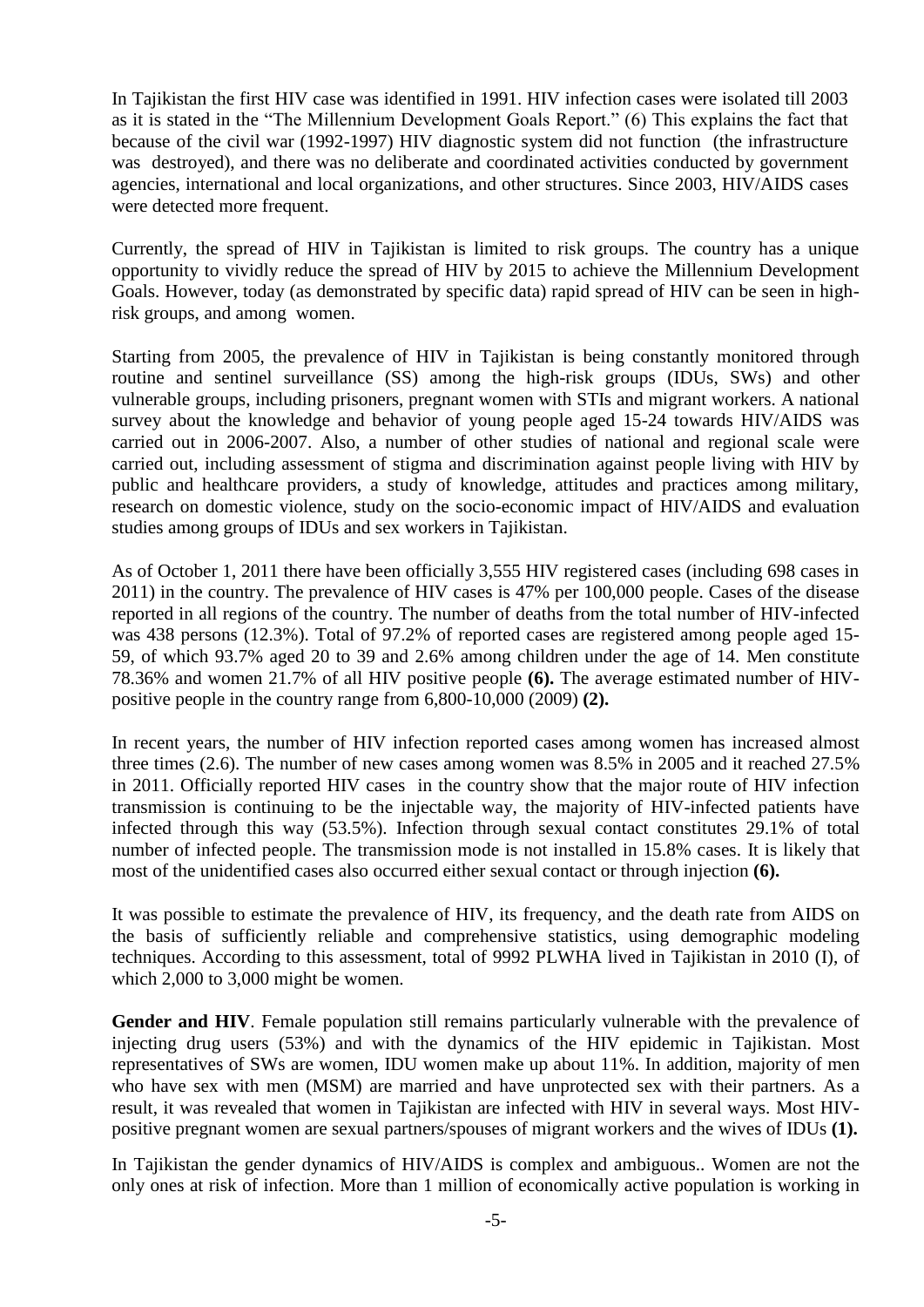In Tajikistan the first HIV case was identified in 1991. HIV infection cases were isolated till 2003 as it is stated in the "The Millennium Development Goals Report." (6) This explains the fact that because of the civil war (1992-1997) HIV diagnostic system did not function (the infrastructure was destroyed), and there was no deliberate and coordinated activities conducted by government agencies, international and local organizations, and other structures. Since 2003, HIV/AIDS cases were detected more frequent.

Currently, the spread of HIV in Tajikistan is limited to risk groups. The country has a unique opportunity to vividly reduce the spread of HIV by 2015 to achieve the Millennium Development Goals. However, today (as demonstrated by specific data) rapid spread of HIV can be seen in highrisk groups, and among women.

Starting from 2005, the prevalence of HIV in Tajikistan is being constantly monitored through routine and sentinel surveillance (SS) among the high-risk groups (IDUs, SWs) and other vulnerable groups, including prisoners, pregnant women with STIs and migrant workers. A national survey about the knowledge and behavior of young people aged 15-24 towards HIV/AIDS was carried out in 2006-2007. Also, a number of other studies of national and regional scale were carried out, including assessment of stigma and discrimination against people living with HIV by public and healthcare providers, a study of knowledge, attitudes and practices among military, research on domestic violence, study on the socio-economic impact of HIV/AIDS and evaluation studies among groups of IDUs and sex workers in Tajikistan.

As of October 1, 2011 there have been officially 3,555 HIV registered cases (including 698 cases in 2011) in the country. The prevalence of HIV cases is 47% per 100,000 people. Cases of the disease reported in all regions of the country. The number of deaths from the total number of HIV-infected was 438 persons (12.3%). Total of 97.2% of reported cases are registered among people aged 15- 59, of which 93.7% aged 20 to 39 and 2.6% among children under the age of 14. Men constitute 78.36% and women 21.7% of all HIV positive people **(6).** The average estimated number of HIVpositive people in the country range from 6,800-10,000 (2009) **(2).**

In recent years, the number of HIV infection reported cases among women has increased almost three times (2.6). The number of new cases among women was 8.5% in 2005 and it reached 27.5% in 2011. Officially reported HIV cases in the country show that the major route of HIV infection transmission is continuing to be the injectable way, the majority of HIV-infected patients have infected through this way (53.5%). Infection through sexual contact constitutes 29.1% of total number of infected people. The transmission mode is not installed in 15.8% cases. It is likely that most of the unidentified cases also occurred either sexual contact or through injection **(6).**

It was possible to estimate the prevalence of HIV, its frequency, and the death rate from AIDS on the basis of sufficiently reliable and comprehensive statistics, using demographic modeling techniques. According to this assessment, total of 9992 PLWHA lived in Tajikistan in 2010 (I), of which 2,000 to 3,000 might be women.

**Gender and HIV**. Female population still remains particularly vulnerable with the prevalence of injecting drug users (53%) and with the dynamics of the HIV epidemic in Tajikistan. Most representatives of SWs are women, IDU women make up about 11%. In addition, majority of men who have sex with men (MSM) are married and have unprotected sex with their partners. As a result, it was revealed that women in Tajikistan are infected with HIV in several ways. Most HIVpositive pregnant women are sexual partners/spouses of migrant workers and the wives of IDUs **(1).**

In Tajikistan the gender dynamics of HIV/AIDS is complex and ambiguous.. Women are not the only ones at risk of infection. More than 1 million of economically active population is working in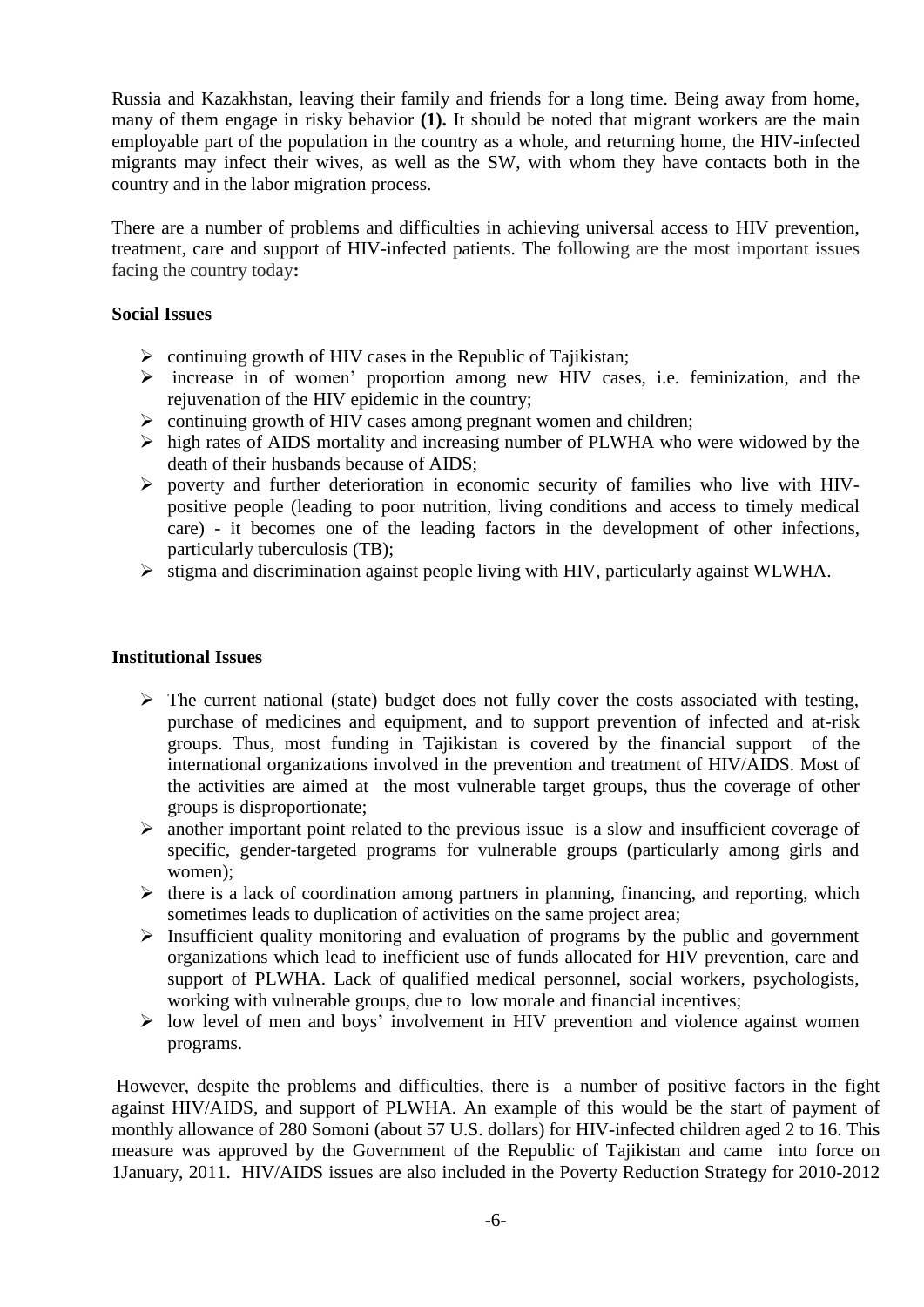Russia and Kazakhstan, leaving their family and friends for a long time. Being away from home, many of them engage in risky behavior **(1).** It should be noted that migrant workers are the main employable part of the population in the country as a whole, and returning home, the HIV-infected migrants may infect their wives, as well as the SW, with whom they have contacts both in the country and in the labor migration process.

There are a number of problems and difficulties in achieving universal access to HIV prevention, treatment, care and support of HIV-infected patients. The following are the most important issues facing the country today**:**

### **Social Issues**

- $\triangleright$  continuing growth of HIV cases in the Republic of Tajikistan;
- $\triangleright$  increase in of women' proportion among new HIV cases, i.e. feminization, and the rejuvenation of the HIV epidemic in the country;
- $\triangleright$  continuing growth of HIV cases among pregnant women and children;
- $\triangleright$  high rates of AIDS mortality and increasing number of PLWHA who were widowed by the death of their husbands because of AIDS;
- $\triangleright$  poverty and further deterioration in economic security of families who live with HIVpositive people (leading to poor nutrition, living conditions and access to timely medical care) - it becomes one of the leading factors in the development of other infections, particularly tuberculosis (TB);
- $\triangleright$  stigma and discrimination against people living with HIV, particularly against WLWHA.

### **Institutional Issues**

- $\triangleright$  The current national (state) budget does not fully cover the costs associated with testing, purchase of medicines and equipment, and to support prevention of infected and at-risk groups. Thus, most funding in Tajikistan is covered by the financial support of the international organizations involved in the prevention and treatment of HIV/AIDS. Most of the activities are aimed at the most vulnerable target groups, thus the coverage of other groups is disproportionate;
- $\triangleright$  another important point related to the previous issue is a slow and insufficient coverage of specific, gender-targeted programs for vulnerable groups (particularly among girls and women);
- $\triangleright$  there is a lack of coordination among partners in planning, financing, and reporting, which sometimes leads to duplication of activities on the same project area;
- $\triangleright$  Insufficient quality monitoring and evaluation of programs by the public and government organizations which lead to inefficient use of funds allocated for HIV prevention, care and support of PLWHA. Lack of qualified medical personnel, social workers, psychologists, working with vulnerable groups, due to low morale and financial incentives;
- $\triangleright$  low level of men and boys' involvement in HIV prevention and violence against women programs.

However, despite the problems and difficulties, there is a number of positive factors in the fight against HIV/AIDS, and support of PLWHA. An example of this would be the start of payment of monthly allowance of 280 Somoni (about 57 U.S. dollars) for HIV-infected children aged 2 to 16. This measure was approved by the Government of the Republic of Tajikistan and came into force on 1January, 2011. HIV/AIDS issues are also included in the Poverty Reduction Strategy for 2010-2012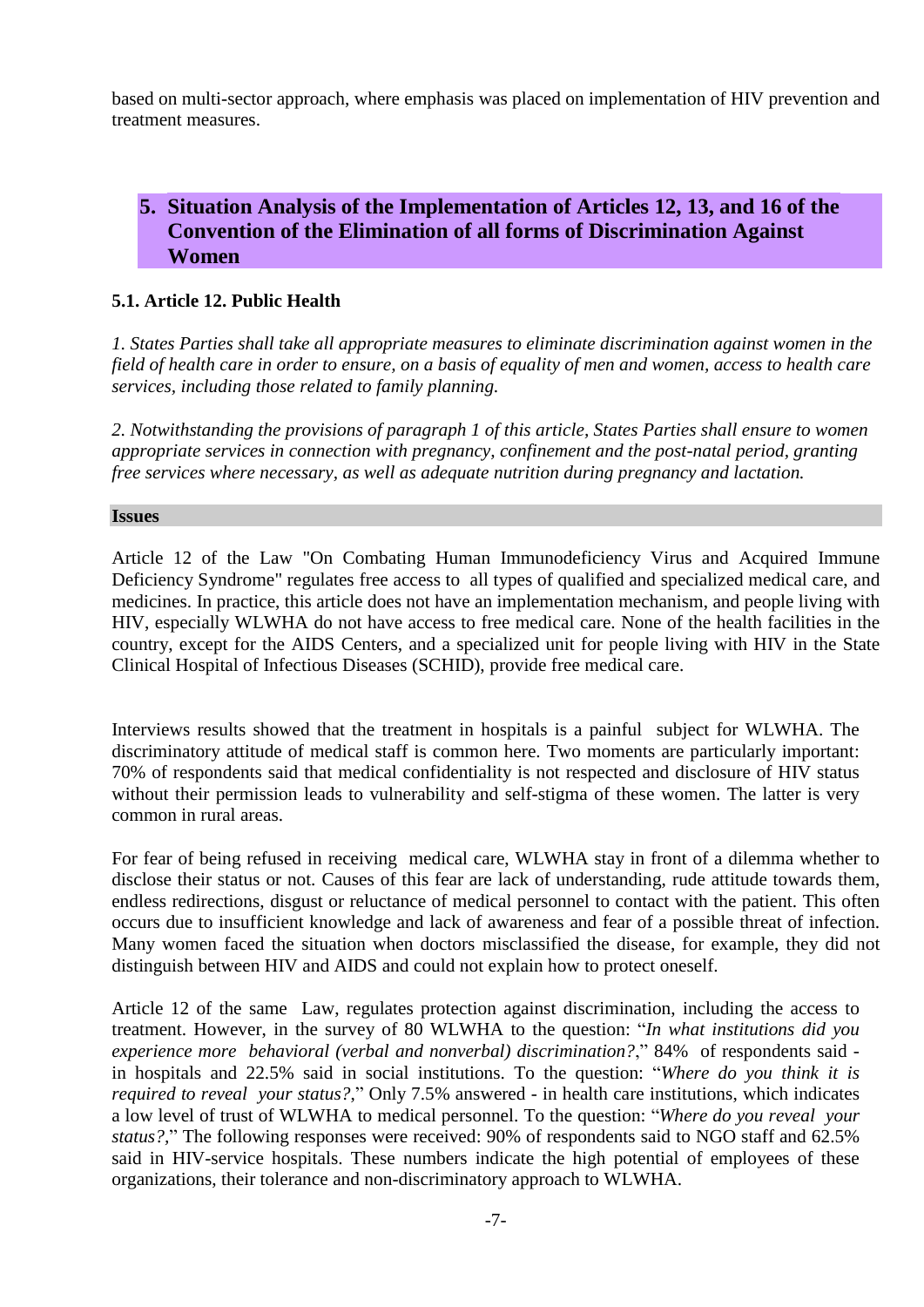based on multi-sector approach, where emphasis was placed on implementation of HIV prevention and treatment measures.

# **5. Situation Analysis of the Implementation of Articles 12, 13, and 16 of the Convention of the Elimination of all forms of Discrimination Against Women**

### **5.1. Article 12. Public Health**

*1. States Parties shall take all appropriate measures to eliminate discrimination against women in the field of health care in order to ensure, on a basis of equality of men and women, access to health care services, including those related to family planning.* 

*2. Notwithstanding the provisions of paragraph 1 of this article, States Parties shall ensure to women appropriate services in connection with pregnancy, confinement and the post-natal period, granting free services where necessary, as well as adequate nutrition during pregnancy and lactation.*

### **Issues**

Article 12 of the Law "On Combating Human Immunodeficiency Virus and Acquired Immune Deficiency Syndrome" regulates free access to all types of qualified and specialized medical care, and medicines. In practice, this article does not have an implementation mechanism, and people living with HIV, especially WLWHA do not have access to free medical care. None of the health facilities in the country, except for the AIDS Centers, and a specialized unit for people living with HIV in the State Clinical Hospital of Infectious Diseases (SCHID), provide free medical care.

Interviews results showed that the treatment in hospitals is a painful subject for WLWHA. The discriminatory attitude of medical staff is common here. Two moments are particularly important: 70% of respondents said that medical confidentiality is not respected and disclosure of HIV status without their permission leads to vulnerability and self-stigma of these women. The latter is very common in rural areas.

For fear of being refused in receiving medical care, WLWHA stay in front of a dilemma whether to disclose their status or not. Causes of this fear are lack of understanding, rude attitude towards them, endless redirections, disgust or reluctance of medical personnel to contact with the patient. This often occurs due to insufficient knowledge and lack of awareness and fear of a possible threat of infection. Many women faced the situation when doctors misclassified the disease, for example, they did not distinguish between HIV and AIDS and could not explain how to protect oneself.

Article 12 of the same Law, regulates protection against discrimination, including the access to treatment. However, in the survey of 80 WLWHA to the question: "*In what institutions did you experience more behavioral (verbal and nonverbal) discrimination?*," 84% of respondents said in hospitals and 22.5% said in social institutions. To the question: "*Where do you think it is required to reveal your status?*," Only 7.5% answered - in health care institutions, which indicates a low level of trust of WLWHA to medical personnel. To the question: "*Where do you reveal your status?,*" The following responses were received: 90% of respondents said to NGO staff and 62.5% said in HIV-service hospitals. These numbers indicate the high potential of employees of these organizations, their tolerance and non-discriminatory approach to WLWHA.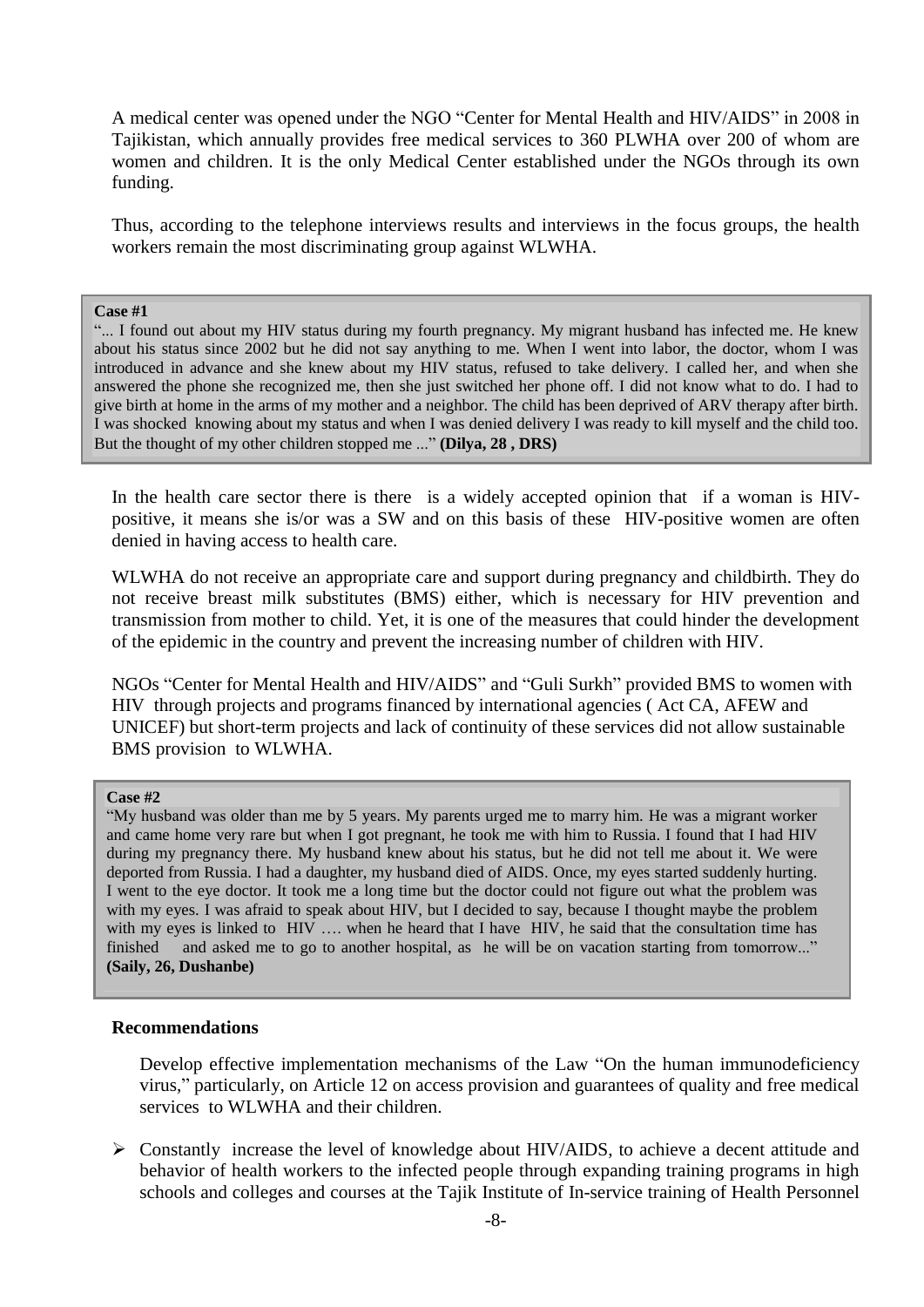A medical center was opened under the NGO "Center for Mental Health and HIV/AIDS" in 2008 in Tajikistan, which annually provides free medical services to 360 PLWHA over 200 of whom are women and children. It is the only Medical Center established under the NGOs through its own funding.

Thus, according to the telephone interviews results and interviews in the focus groups, the health workers remain the most discriminating group against WLWHA.

#### **Case #1**

"... I found out about my HIV status during my fourth pregnancy. My migrant husband has infected me. He knew about his status since 2002 but he did not say anything to me. When I went into labor, the doctor, whom I was introduced in advance and she knew about my HIV status, refused to take delivery. I called her, and when she answered the phone she recognized me, then she just switched her phone off. I did not know what to do. I had to give birth at home in the arms of my mother and a neighbor. The child has been deprived of ARV therapy after birth. I was shocked knowing about my status and when I was denied delivery I was ready to kill myself and the child too. But the thought of my other children stopped me ..." **(Dilya, 28 , DRS)**

In the health care sector there is there is a widely accepted opinion that if a woman is HIVpositive, it means she is/or was a SW and on this basis of these HIV-positive women are often denied in having access to health care.

WLWHA do not receive an appropriate care and support during pregnancy and childbirth. They do not receive breast milk substitutes (BMS) either, which is necessary for HIV prevention and transmission from mother to child. Yet, it is one of the measures that could hinder the development of the epidemic in the country and prevent the increasing number of children with HIV.

NGOs "Center for Mental Health and HIV/AIDS" and "Guli Surkh" provided BMS to women with HIV through projects and programs financed by international agencies ( Act CA, AFEW and UNICEF) but short-term projects and lack of continuity of these services did not allow sustainable BMS provision to WLWHA.

#### **Case #2**

"My husband was older than me by 5 years. My parents urged me to marry him. He was a migrant worker and came home very rare but when I got pregnant, he took me with him to Russia. I found that I had HIV during my pregnancy there. My husband knew about his status, but he did not tell me about it. We were deported from Russia. I had a daughter, my husband died of AIDS. Once, my eyes started suddenly hurting. I went to the eye doctor. It took me a long time but the doctor could not figure out what the problem was with my eyes. I was afraid to speak about HIV, but I decided to say, because I thought maybe the problem with my eyes is linked to HIV .... when he heard that I have HIV, he said that the consultation time has finished and asked me to go to another hospital, as he will be on vacation starting from tomorrow..." **(Saily, 26, Dushanbe)**

#### **Recommendations**

Develop effective implementation mechanisms of the Law "On the human immunodeficiency virus," particularly, on Article 12 on access provision and guarantees of quality and free medical services to WLWHA and their children.

 Constantly increase the level of knowledge about HIV/AIDS, to achieve a decent attitude and behavior of health workers to the infected people through expanding training programs in high schools and colleges and courses at the Tajik Institute of In-service training of Health Personnel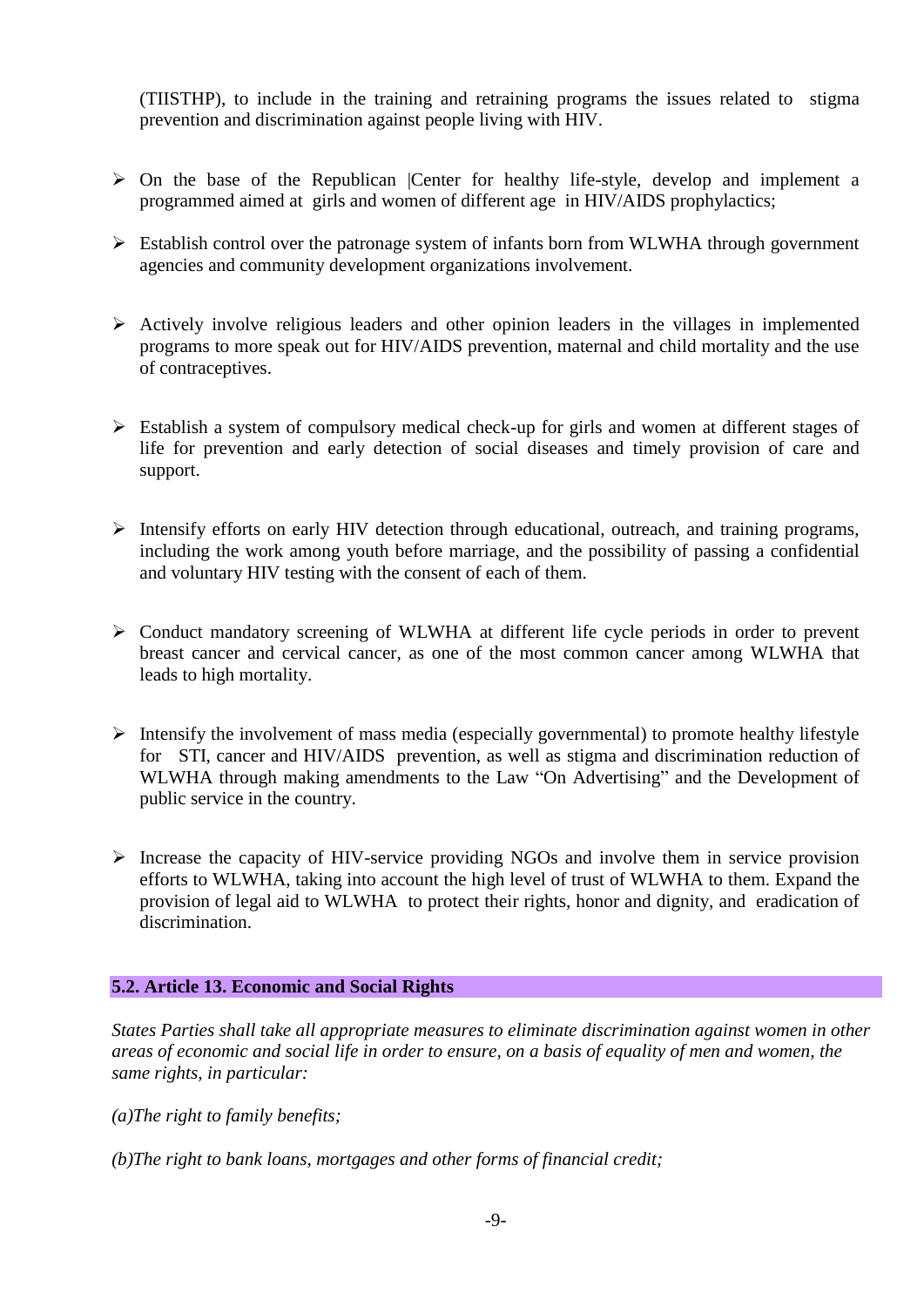(TIISTHP), to include in the training and retraining programs the issues related to stigma prevention and discrimination against people living with HIV.

- $\triangleright$  On the base of the Republican |Center for healthy life-style, develop and implement a programmed aimed at girls and women of different age in HIV/AIDS prophylactics;
- Establish control over the patronage system of infants born from WLWHA through government agencies and community development organizations involvement.
- $\triangleright$  Actively involve religious leaders and other opinion leaders in the villages in implemented programs to more speak out for HIV/AIDS prevention, maternal and child mortality and the use of contraceptives.
- Establish a system of compulsory medical check-up for girls and women at different stages of life for prevention and early detection of social diseases and timely provision of care and support.
- $\triangleright$  Intensify efforts on early HIV detection through educational, outreach, and training programs, including the work among youth before marriage, and the possibility of passing a confidential and voluntary HIV testing with the consent of each of them.
- Conduct mandatory screening of WLWHA at different life cycle periods in order to prevent breast cancer and cervical cancer, as one of the most common cancer among WLWHA that leads to high mortality.
- $\triangleright$  Intensify the involvement of mass media (especially governmental) to promote healthy lifestyle for STI, cancer and HIV/AIDS prevention, as well as stigma and discrimination reduction of WLWHA through making amendments to the Law "On Advertising" and the Development of public service in the country.
- $\triangleright$  Increase the capacity of HIV-service providing NGOs and involve them in service provision efforts to WLWHA, taking into account the high level of trust of WLWHA to them. Expand the provision of legal aid to WLWHA to protect their rights, honor and dignity, and eradication of discrimination.

### **5.2. Article 13. Economic and Social Rights**

*States Parties shall take all appropriate measures to eliminate discrimination against women in other areas of economic and social life in order to ensure, on a basis of equality of men and women, the same rights, in particular:* 

- *(a)The right to family benefits;*
- *(b)The right to bank loans, mortgages and other forms of financial credit;*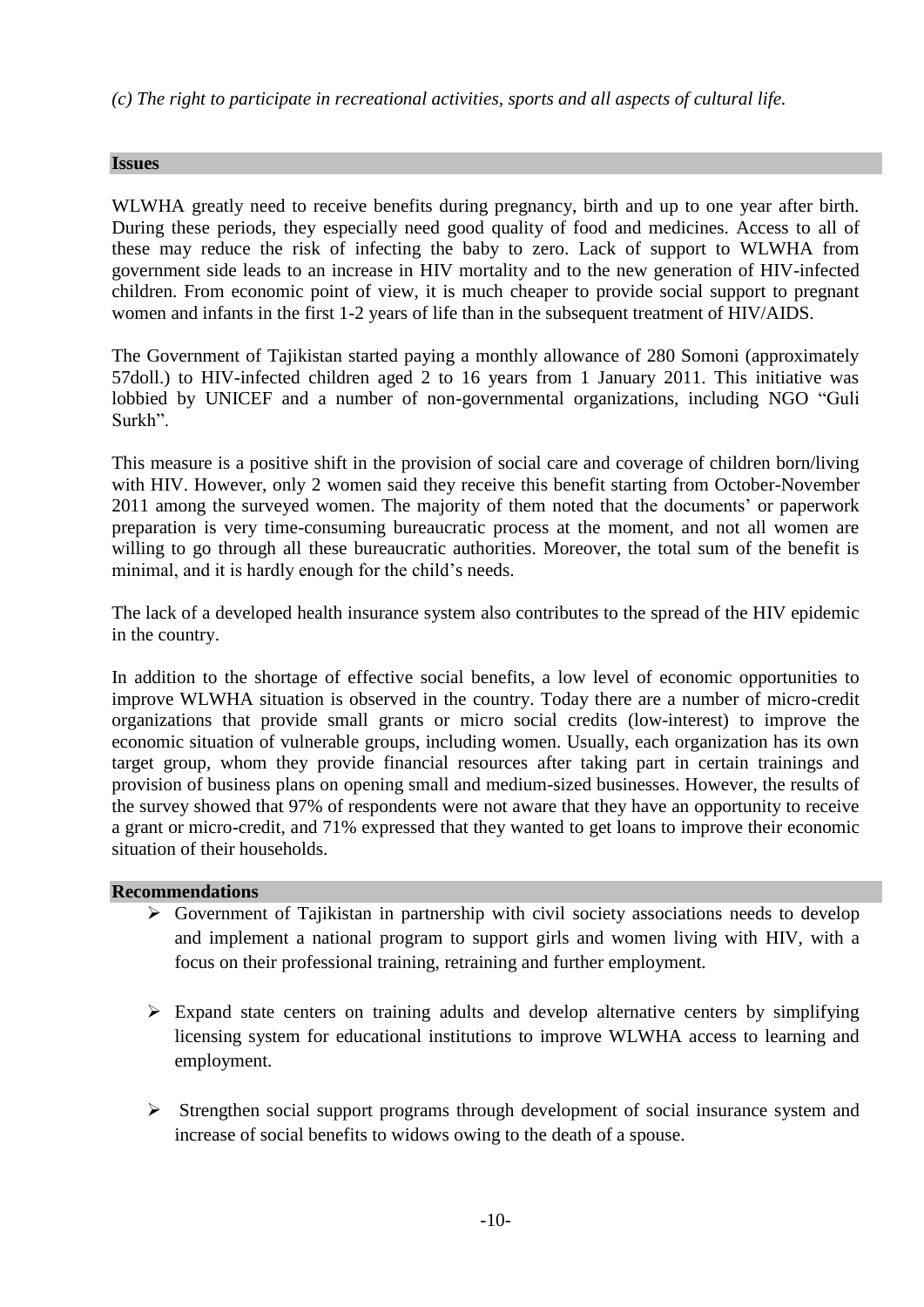*(c) The right to participate in recreational activities, sports and all aspects of cultural life.*

### **Issues**

WLWHA greatly need to receive benefits during pregnancy, birth and up to one year after birth. During these periods, they especially need good quality of food and medicines. Access to all of these may reduce the risk of infecting the baby to zero. Lack of support to WLWHA from government side leads to an increase in HIV mortality and to the new generation of HIV-infected children. From economic point of view, it is much cheaper to provide social support to pregnant women and infants in the first 1-2 years of life than in the subsequent treatment of HIV/AIDS.

The Government of Tajikistan started paying a monthly allowance of 280 Somoni (approximately 57doll.) to HIV-infected children aged 2 to 16 years from 1 January 2011. This initiative was lobbied by UNICEF and a number of non-governmental organizations, including NGO "Guli Surkh".

This measure is a positive shift in the provision of social care and coverage of children born/living with HIV. However, only 2 women said they receive this benefit starting from October-November 2011 among the surveyed women. The majority of them noted that the documents' or paperwork preparation is very time-consuming bureaucratic process at the moment, and not all women are willing to go through all these bureaucratic authorities. Moreover, the total sum of the benefit is minimal, and it is hardly enough for the child's needs.

The lack of a developed health insurance system also contributes to the spread of the HIV epidemic in the country.

In addition to the shortage of effective social benefits, a low level of economic opportunities to improve WLWHA situation is observed in the country. Today there are a number of micro-credit organizations that provide small grants or micro social credits (low-interest) to improve the economic situation of vulnerable groups, including women. Usually, each organization has its own target group, whom they provide financial resources after taking part in certain trainings and provision of business plans on opening small and medium-sized businesses. However, the results of the survey showed that 97% of respondents were not aware that they have an opportunity to receive a grant or micro-credit, and 71% expressed that they wanted to get loans to improve their economic situation of their households.

### **Recommendations**

- $\triangleright$  Government of Tajikistan in partnership with civil society associations needs to develop and implement a national program to support girls and women living with HIV, with a focus on their professional training, retraining and further employment.
- $\triangleright$  Expand state centers on training adults and develop alternative centers by simplifying licensing system for educational institutions to improve WLWHA access to learning and employment.
- $\triangleright$  Strengthen social support programs through development of social insurance system and increase of social benefits to widows owing to the death of a spouse.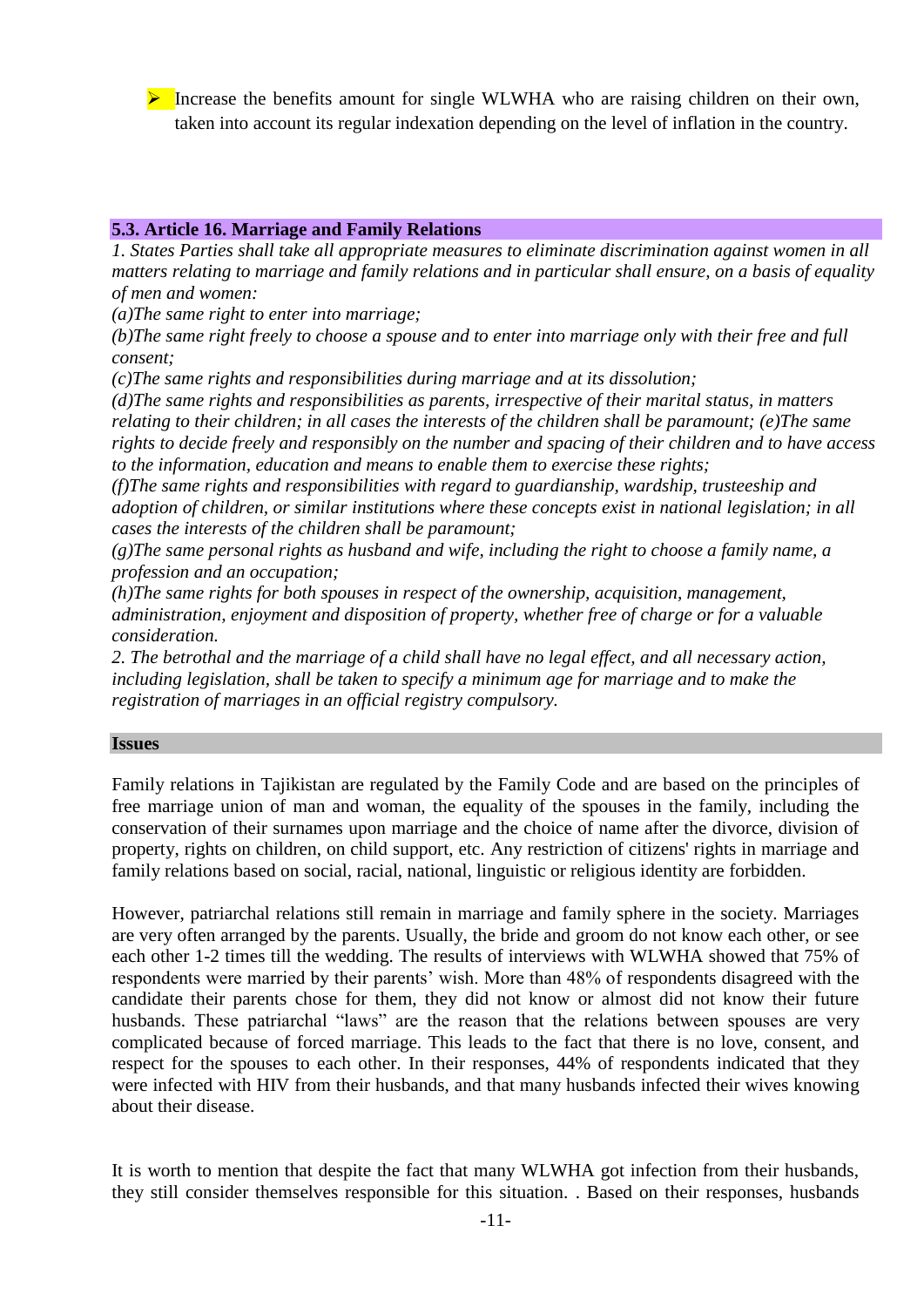Increase the benefits amount for single WLWHA who are raising children on their own, taken into account its regular indexation depending on the level of inflation in the country.

### **5.3. Article 16. Marriage and Family Relations**

*1. States Parties shall take all appropriate measures to eliminate discrimination against women in all matters relating to marriage and family relations and in particular shall ensure, on a basis of equality of men and women:* 

*(a)The same right to enter into marriage;* 

*(b)The same right freely to choose a spouse and to enter into marriage only with their free and full consent;* 

*(c)The same rights and responsibilities during marriage and at its dissolution;* 

*(d)The same rights and responsibilities as parents, irrespective of their marital status, in matters relating to their children; in all cases the interests of the children shall be paramount; (e)The same rights to decide freely and responsibly on the number and spacing of their children and to have access to the information, education and means to enable them to exercise these rights;* 

*(f)The same rights and responsibilities with regard to guardianship, wardship, trusteeship and adoption of children, or similar institutions where these concepts exist in national legislation; in all cases the interests of the children shall be paramount;* 

*(g)The same personal rights as husband and wife, including the right to choose a family name, a profession and an occupation;* 

*(h)The same rights for both spouses in respect of the ownership, acquisition, management, administration, enjoyment and disposition of property, whether free of charge or for a valuable consideration.* 

*2. The betrothal and the marriage of a child shall have no legal effect, and all necessary action, including legislation, shall be taken to specify a minimum age for marriage and to make the registration of marriages in an official registry compulsory.* 

#### **Issues**

Family relations in Tajikistan are regulated by the Family Code and are based on the principles of free marriage union of man and woman, the equality of the spouses in the family, including the conservation of their surnames upon marriage and the choice of name after the divorce, division of property, rights on children, on child support, etc. Any restriction of citizens' rights in marriage and family relations based on social, racial, national, linguistic or religious identity are forbidden.

However, patriarchal relations still remain in marriage and family sphere in the society. Marriages are very often arranged by the parents. Usually, the bride and groom do not know each other, or see each other 1-2 times till the wedding. The results of interviews with WLWHA showed that 75% of respondents were married by their parents' wish. More than 48% of respondents disagreed with the candidate their parents chose for them, they did not know or almost did not know their future husbands. These patriarchal "laws" are the reason that the relations between spouses are very complicated because of forced marriage. This leads to the fact that there is no love, consent, and respect for the spouses to each other. In their responses, 44% of respondents indicated that they were infected with HIV from their husbands, and that many husbands infected their wives knowing about their disease.

It is worth to mention that despite the fact that many WLWHA got infection from their husbands, they still consider themselves responsible for this situation. . Based on their responses, husbands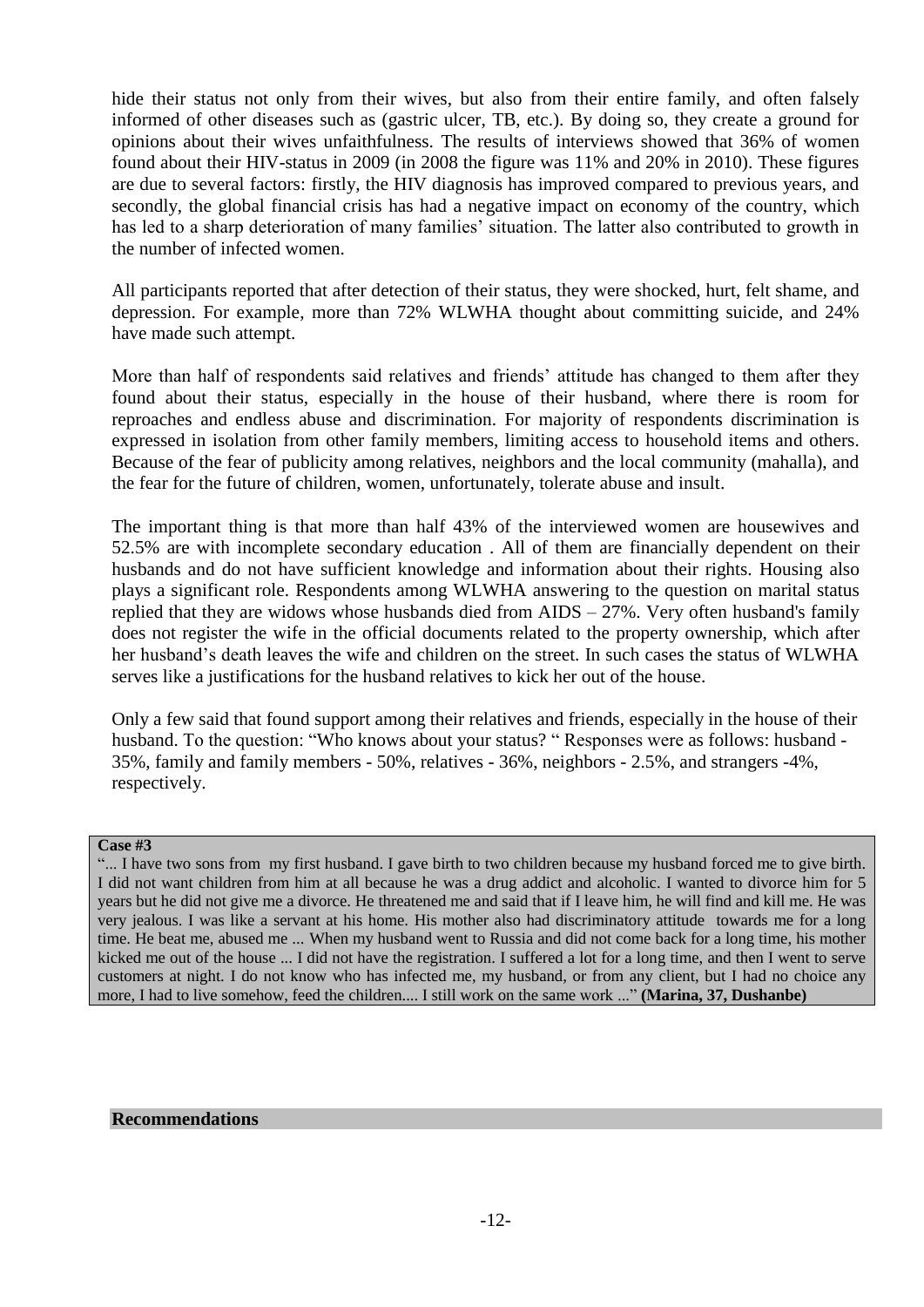hide their status not only from their wives, but also from their entire family, and often falsely informed of other diseases such as (gastric ulcer, TB, etc.). By doing so, they create a ground for opinions about their wives unfaithfulness. The results of interviews showed that 36% of women found about their HIV-status in 2009 (in 2008 the figure was 11% and 20% in 2010). These figures are due to several factors: firstly, the HIV diagnosis has improved compared to previous years, and secondly, the global financial crisis has had a negative impact on economy of the country, which has led to a sharp deterioration of many families' situation. The latter also contributed to growth in the number of infected women.

All participants reported that after detection of their status, they were shocked, hurt, felt shame, and depression. For example, more than 72% WLWHA thought about committing suicide, and 24% have made such attempt.

More than half of respondents said relatives and friends' attitude has changed to them after they found about their status, especially in the house of their husband, where there is room for reproaches and endless abuse and discrimination. For majority of respondents discrimination is expressed in isolation from other family members, limiting access to household items and others. Because of the fear of publicity among relatives, neighbors and the local community (mahalla), and the fear for the future of children, women, unfortunately, tolerate abuse and insult.

The important thing is that more than half 43% of the interviewed women are housewives and 52.5% are with incomplete secondary education . All of them are financially dependent on their husbands and do not have sufficient knowledge and information about their rights. Housing also plays a significant role. Respondents among WLWHA answering to the question on marital status replied that they are widows whose husbands died from AIDS – 27%. Very often husband's family does not register the wife in the official documents related to the property ownership, which after her husband's death leaves the wife and children on the street. In such cases the status of WLWHA serves like a justifications for the husband relatives to kick her out of the house.

Only a few said that found support among their relatives and friends, especially in the house of their husband. To the question: "Who knows about your status? " Responses were as follows: husband - 35%, family and family members - 50%, relatives - 36%, neighbors - 2.5%, and strangers -4%, respectively.

### **Case #3**

"... I have two sons from my first husband. I gave birth to two children because my husband forced me to give birth. I did not want children from him at all because he was a drug addict and alcoholic. I wanted to divorce him for 5 years but he did not give me a divorce. He threatened me and said that if I leave him, he will find and kill me. He was very jealous. I was like a servant at his home. His mother also had discriminatory attitude towards me for a long time. He beat me, abused me ... When my husband went to Russia and did not come back for a long time, his mother kicked me out of the house ... I did not have the registration. I suffered a lot for a long time, and then I went to serve customers at night. I do not know who has infected me, my husband, or from any client, but I had no choice any more, I had to live somehow, feed the children.... I still work on the same work ..." **(Мarina, 37, Dushanbe)**

#### **Recommendations**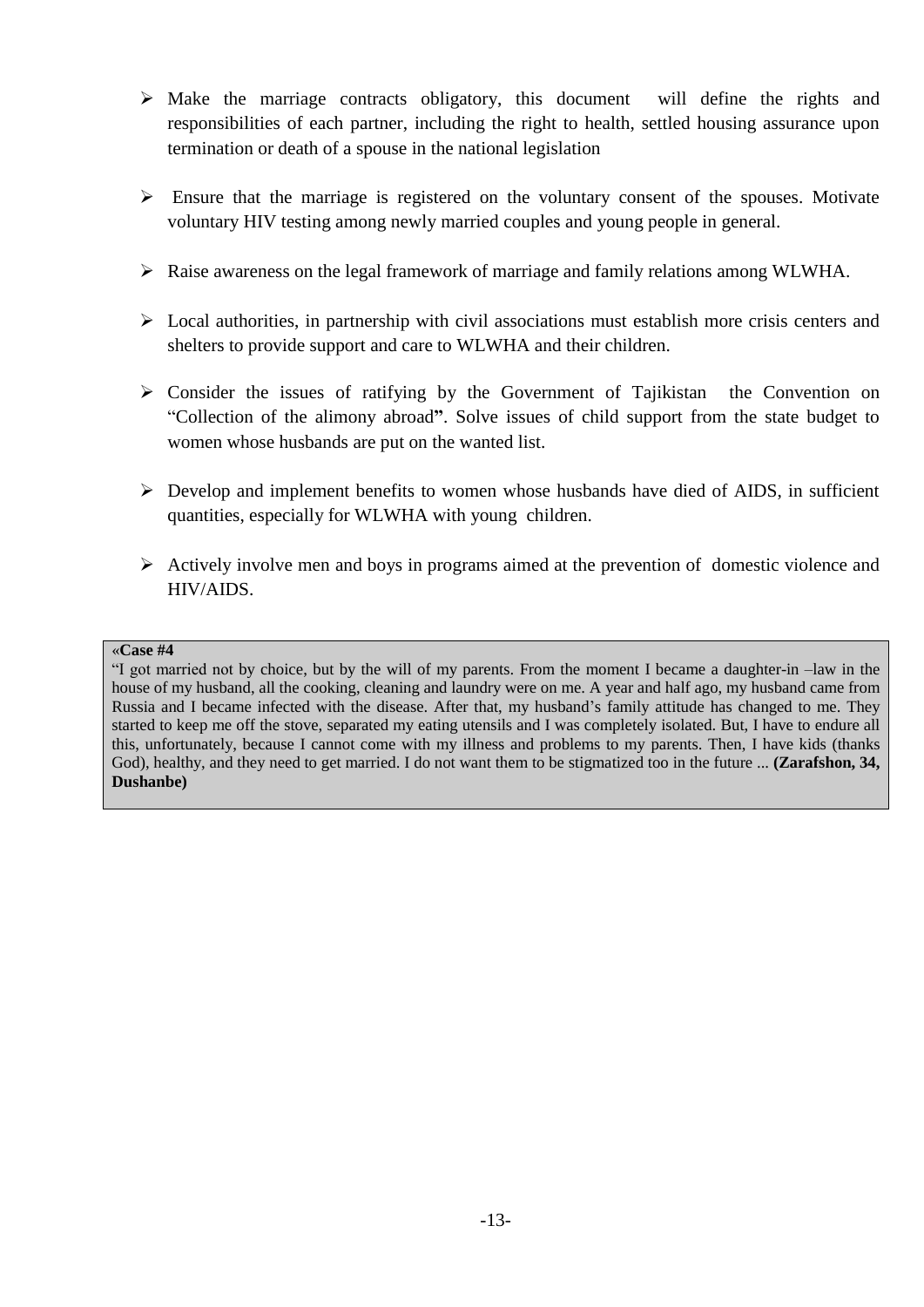- $\triangleright$  Make the marriage contracts obligatory, this document will define the rights and responsibilities of each partner, including the right to health, settled housing assurance upon termination or death of a spouse in the national legislation
- $\triangleright$  Ensure that the marriage is registered on the voluntary consent of the spouses. Motivate voluntary HIV testing among newly married couples and young people in general.
- $\triangleright$  Raise awareness on the legal framework of marriage and family relations among WLWHA.
- $\triangleright$  Local authorities, in partnership with civil associations must establish more crisis centers and shelters to provide support and care to WLWHA and their children.
- $\triangleright$  Consider the issues of ratifying by the Government of Tajikistan the Convention on "Collection of the alimony abroad**"**. Solve issues of child support from the state budget to women whose husbands are put on the wanted list.
- $\triangleright$  Develop and implement benefits to women whose husbands have died of AIDS, in sufficient quantities, especially for WLWHA with young children.
- $\triangleright$  Actively involve men and boys in programs aimed at the prevention of domestic violence and HIV/AIDS.

#### «**Case #4**

"I got married not by choice, but by the will of my parents. From the moment I became a daughter-in –law in the house of my husband, all the cooking, cleaning and laundry were on me. A year and half ago, my husband came from Russia and I became infected with the disease. After that, my husband's family attitude has changed to me. They started to keep me off the stove, separated my eating utensils and I was completely isolated. But, I have to endure all this, unfortunately, because I cannot come with my illness and problems to my parents. Then, I have kids (thanks God), healthy, and they need to get married. I do not want them to be stigmatized too in the future ... **(Zarafshon, 34, Dushanbe)**